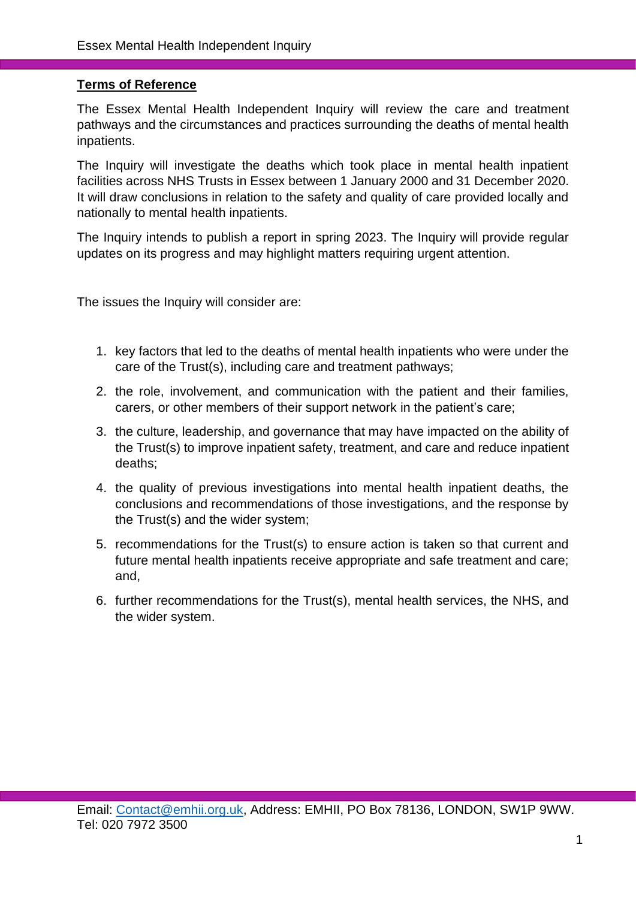#### **Terms of Reference**

The Essex Mental Health Independent Inquiry will review the care and treatment pathways and the circumstances and practices surrounding the deaths of mental health inpatients.

The Inquiry will investigate the deaths which took place in mental health inpatient facilities across NHS Trusts in Essex between 1 January 2000 and 31 December 2020. It will draw conclusions in relation to the safety and quality of care provided locally and nationally to mental health inpatients.

The Inquiry intends to publish a report in spring 2023. The Inquiry will provide regular updates on its progress and may highlight matters requiring urgent attention.

The issues the Inquiry will consider are:

- 1. key factors that led to the deaths of mental health inpatients who were under the care of the Trust(s), including care and treatment pathways;
- 2. the role, involvement, and communication with the patient and their families, carers, or other members of their support network in the patient's care;
- 3. the culture, leadership, and governance that may have impacted on the ability of the Trust(s) to improve inpatient safety, treatment, and care and reduce inpatient deaths;
- 4. the quality of previous investigations into mental health inpatient deaths, the conclusions and recommendations of those investigations, and the response by the Trust(s) and the wider system;
- 5. recommendations for the Trust(s) to ensure action is taken so that current and future mental health inpatients receive appropriate and safe treatment and care; and,
- 6. further recommendations for the Trust(s), mental health services, the NHS, and the wider system.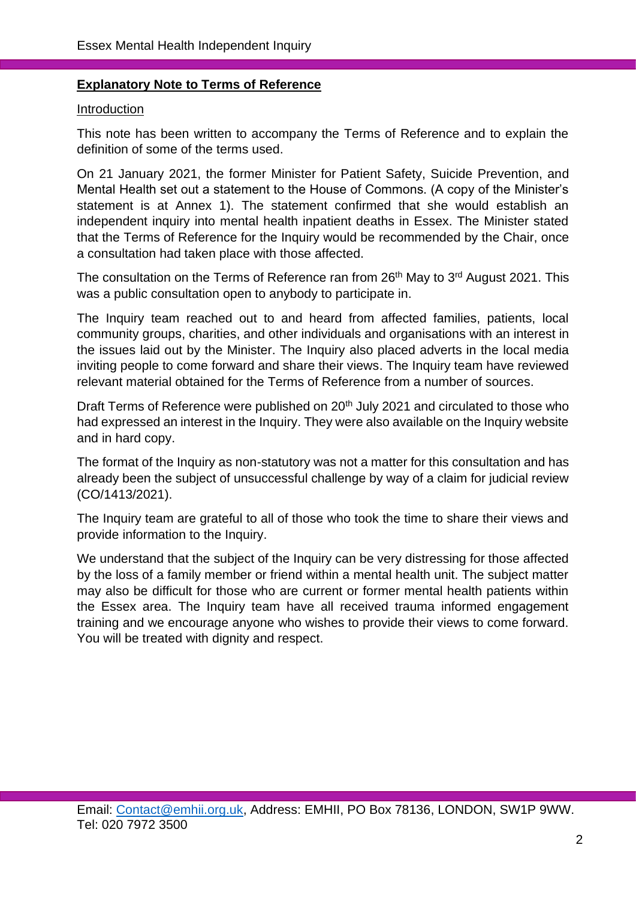#### **Explanatory Note to Terms of Reference**

#### Introduction

This note has been written to accompany the Terms of Reference and to explain the definition of some of the terms used.

On 21 January 2021, the former Minister for Patient Safety, Suicide Prevention, and Mental Health set out a statement to the House of Commons. (A copy of the Minister's statement is at Annex 1). The statement confirmed that she would establish an independent inquiry into mental health inpatient deaths in Essex. The Minister stated that the Terms of Reference for the Inquiry would be recommended by the Chair, once a consultation had taken place with those affected.

The consultation on the Terms of Reference ran from 26<sup>th</sup> May to 3<sup>rd</sup> August 2021. This was a public consultation open to anybody to participate in.

The Inquiry team reached out to and heard from affected families, patients, local community groups, charities, and other individuals and organisations with an interest in the issues laid out by the Minister. The Inquiry also placed adverts in the local media inviting people to come forward and share their views. The Inquiry team have reviewed relevant material obtained for the Terms of Reference from a number of sources.

Draft Terms of Reference were published on 20<sup>th</sup> July 2021 and circulated to those who had expressed an interest in the Inquiry. They were also available on the Inquiry website and in hard copy.

The format of the Inquiry as non-statutory was not a matter for this consultation and has already been the subject of unsuccessful challenge by way of a claim for judicial review (CO/1413/2021).

The Inquiry team are grateful to all of those who took the time to share their views and provide information to the Inquiry.

We understand that the subject of the Inquiry can be very distressing for those affected by the loss of a family member or friend within a mental health unit. The subject matter may also be difficult for those who are current or former mental health patients within the Essex area. The Inquiry team have all received trauma informed engagement training and we encourage anyone who wishes to provide their views to come forward. You will be treated with dignity and respect.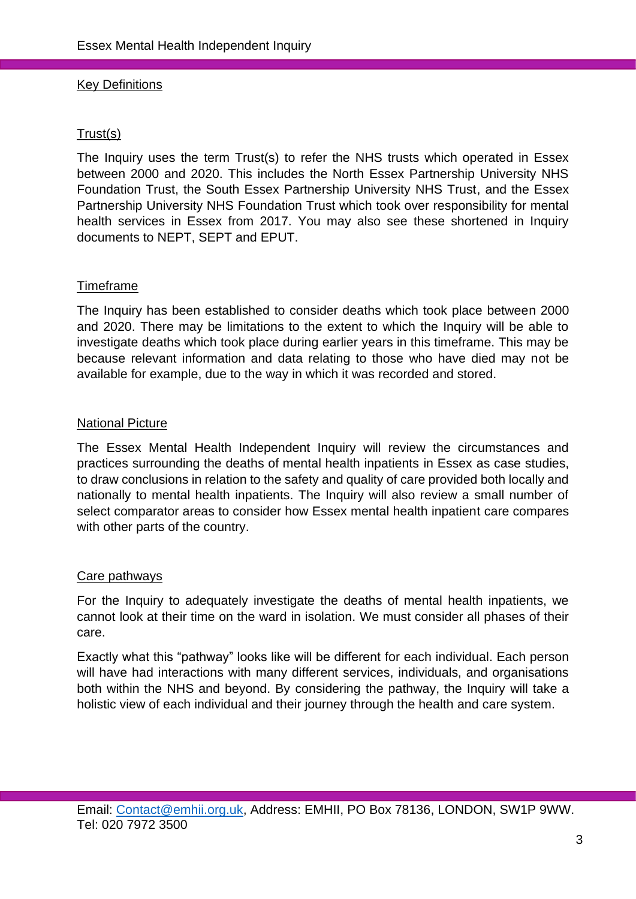#### Key Definitions

#### Trust(s)

The Inquiry uses the term Trust(s) to refer the NHS trusts which operated in Essex between 2000 and 2020. This includes the North Essex Partnership University NHS Foundation Trust, the South Essex Partnership University NHS Trust, and the Essex Partnership University NHS Foundation Trust which took over responsibility for mental health services in Essex from 2017. You may also see these shortened in Inquiry documents to NEPT, SEPT and EPUT.

#### Timeframe

The Inquiry has been established to consider deaths which took place between 2000 and 2020. There may be limitations to the extent to which the Inquiry will be able to investigate deaths which took place during earlier years in this timeframe. This may be because relevant information and data relating to those who have died may not be available for example, due to the way in which it was recorded and stored.

#### National Picture

The Essex Mental Health Independent Inquiry will review the circumstances and practices surrounding the deaths of mental health inpatients in Essex as case studies, to draw conclusions in relation to the safety and quality of care provided both locally and nationally to mental health inpatients. The Inquiry will also review a small number of select comparator areas to consider how Essex mental health inpatient care compares with other parts of the country.

#### Care pathways

For the Inquiry to adequately investigate the deaths of mental health inpatients, we cannot look at their time on the ward in isolation. We must consider all phases of their care.

Exactly what this "pathway" looks like will be different for each individual. Each person will have had interactions with many different services, individuals, and organisations both within the NHS and beyond. By considering the pathway, the Inquiry will take a holistic view of each individual and their journey through the health and care system.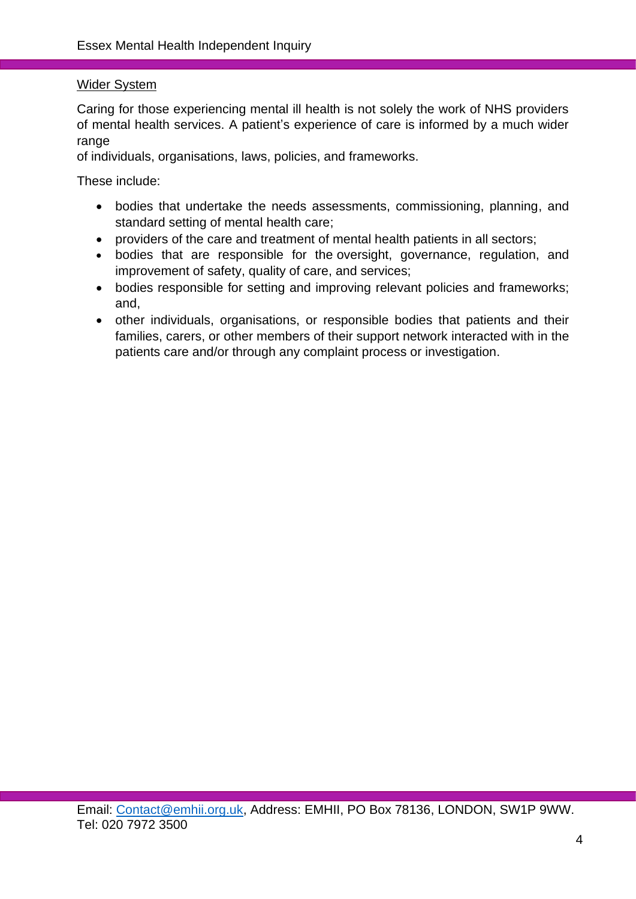### Wider System

Caring for those experiencing mental ill health is not solely the work of NHS providers of mental health services. A patient's experience of care is informed by a much wider range

of individuals, organisations, laws, policies, and frameworks.

These include:

- bodies that undertake the needs assessments, commissioning, planning, and standard setting of mental health care;
- providers of the care and treatment of mental health patients in all sectors;
- bodies that are responsible for the oversight, governance, regulation, and improvement of safety, quality of care, and services;
- bodies responsible for setting and improving relevant policies and frameworks; and,
- other individuals, organisations, or responsible bodies that patients and their families, carers, or other members of their support network interacted with in the patients care and/or through any complaint process or investigation.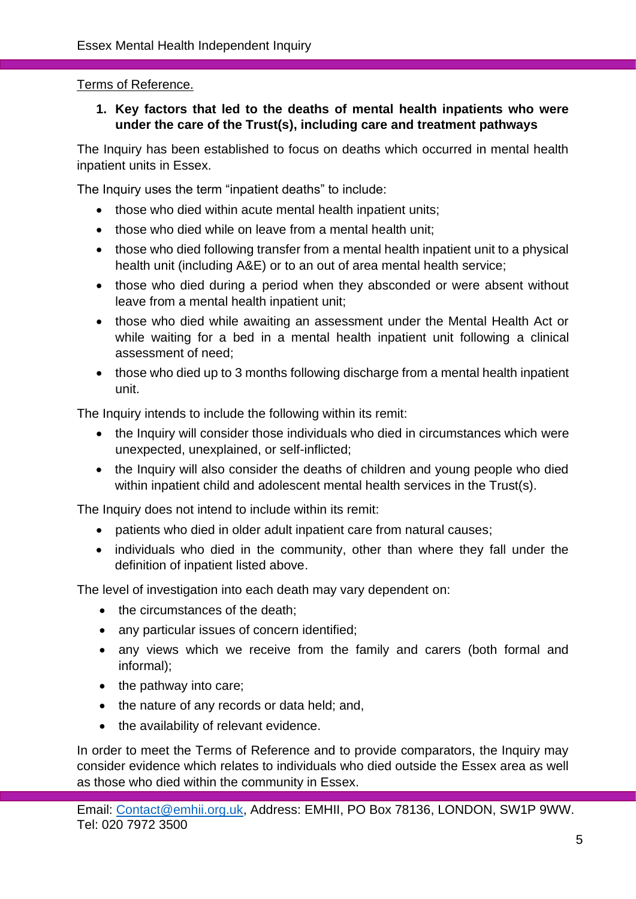## Terms of Reference.

## **1. Key factors that led to the deaths of mental health inpatients who were under the care of the Trust(s), including care and treatment pathways**

The Inquiry has been established to focus on deaths which occurred in mental health inpatient units in Essex.

The Inquiry uses the term "inpatient deaths" to include:

- those who died within acute mental health inpatient units:
- those who died while on leave from a mental health unit:
- those who died following transfer from a mental health inpatient unit to a physical health unit (including A&E) or to an out of area mental health service;
- those who died during a period when they absconded or were absent without leave from a mental health inpatient unit;
- those who died while awaiting an assessment under the Mental Health Act or while waiting for a bed in a mental health inpatient unit following a clinical assessment of need;
- those who died up to 3 months following discharge from a mental health inpatient unit.

The Inquiry intends to include the following within its remit:

- the Inquiry will consider those individuals who died in circumstances which were unexpected, unexplained, or self-inflicted;
- the Inquiry will also consider the deaths of children and young people who died within inpatient child and adolescent mental health services in the Trust(s).

The Inquiry does not intend to include within its remit:

- patients who died in older adult inpatient care from natural causes;
- individuals who died in the community, other than where they fall under the definition of inpatient listed above.

The level of investigation into each death may vary dependent on:

- the circumstances of the death;
- any particular issues of concern identified:
- any views which we receive from the family and carers (both formal and informal);
- the pathway into care;
- the nature of any records or data held; and,
- the availability of relevant evidence.

In order to meet the Terms of Reference and to provide comparators, the Inquiry may consider evidence which relates to individuals who died outside the Essex area as well as those who died within the community in Essex.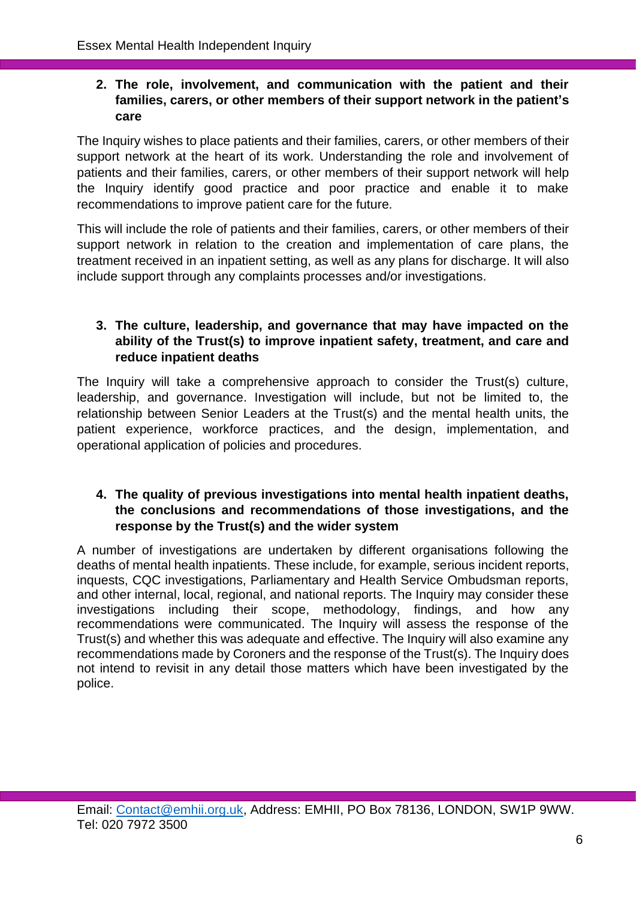## **2. The role, involvement, and communication with the patient and their families, carers, or other members of their support network in the patient's care**

The Inquiry wishes to place patients and their families, carers, or other members of their support network at the heart of its work. Understanding the role and involvement of patients and their families, carers, or other members of their support network will help the Inquiry identify good practice and poor practice and enable it to make recommendations to improve patient care for the future.

This will include the role of patients and their families, carers, or other members of their support network in relation to the creation and implementation of care plans, the treatment received in an inpatient setting, as well as any plans for discharge. It will also include support through any complaints processes and/or investigations.

## **3. The culture, leadership, and governance that may have impacted on the ability of the Trust(s) to improve inpatient safety, treatment, and care and reduce inpatient deaths**

The Inquiry will take a comprehensive approach to consider the Trust(s) culture, leadership, and governance. Investigation will include, but not be limited to, the relationship between Senior Leaders at the Trust(s) and the mental health units, the patient experience, workforce practices, and the design, implementation, and operational application of policies and procedures.

## **4. The quality of previous investigations into mental health inpatient deaths, the conclusions and recommendations of those investigations, and the response by the Trust(s) and the wider system**

A number of investigations are undertaken by different organisations following the deaths of mental health inpatients. These include, for example, serious incident reports, inquests, CQC investigations, Parliamentary and Health Service Ombudsman reports, and other internal, local, regional, and national reports. The Inquiry may consider these investigations including their scope, methodology, findings, and how any recommendations were communicated. The Inquiry will assess the response of the Trust(s) and whether this was adequate and effective. The Inquiry will also examine any recommendations made by Coroners and the response of the Trust(s). The Inquiry does not intend to revisit in any detail those matters which have been investigated by the police.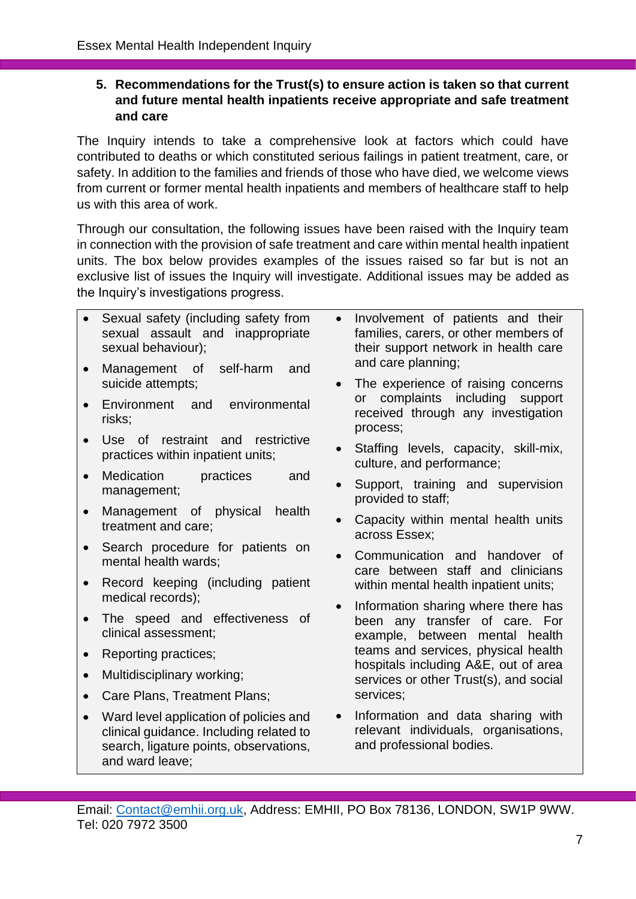## **5. Recommendations for the Trust(s) to ensure action is taken so that current and future mental health inpatients receive appropriate and safe treatment and care**

The Inquiry intends to take a comprehensive look at factors which could have contributed to deaths or which constituted serious failings in patient treatment, care, or safety. In addition to the families and friends of those who have died, we welcome views from current or former mental health inpatients and members of healthcare staff to help us with this area of work.

Through our consultation, the following issues have been raised with the Inquiry team in connection with the provision of safe treatment and care within mental health inpatient units. The box below provides examples of the issues raised so far but is not an exclusive list of issues the Inquiry will investigate. Additional issues may be added as the Inquiry's investigations progress.

| • Sexual safety (including safety from |  |  |                                  | • Involver |
|----------------------------------------|--|--|----------------------------------|------------|
|                                        |  |  | sexual assault and inappropriate | families   |
| sexual behaviour);                     |  |  |                                  | their su   |

- Management of self-harm and suicide attempts;
- Environment and environmental risks;
- Use of restraint and restrictive practices within inpatient units;
- Medication practices and management;
- Management of physical health treatment and care;
- Search procedure for patients on mental health wards;
- Record keeping (including patient medical records);
- The speed and effectiveness of clinical assessment;
- Reporting practices;
- Multidisciplinary working;
- Care Plans, Treatment Plans;
- Ward level application of policies and clinical guidance. Including related to search, ligature points, observations, and ward leave;
- ment of patients and their families, or other members of pport network in health care and care planning;
- The experience of raising concerns or complaints including support received through any investigation process;
- Staffing levels, capacity, skill-mix, culture, and performance;
- Support, training and supervision provided to staff;
- Capacity within mental health units across Essex;
- Communication and handover of care between staff and clinicians within mental health inpatient units;
- Information sharing where there has been any transfer of care. For example, between mental health teams and services, physical health hospitals including A&E, out of area services or other Trust(s), and social services;
- Information and data sharing with relevant individuals, organisations, and professional bodies.

Email: [Contact@emhii.org.uk,](mailto:Contact@emhii.org.uk) Address: EMHII, PO Box 78136, LONDON, SW1P 9WW. Tel: 020 7972 3500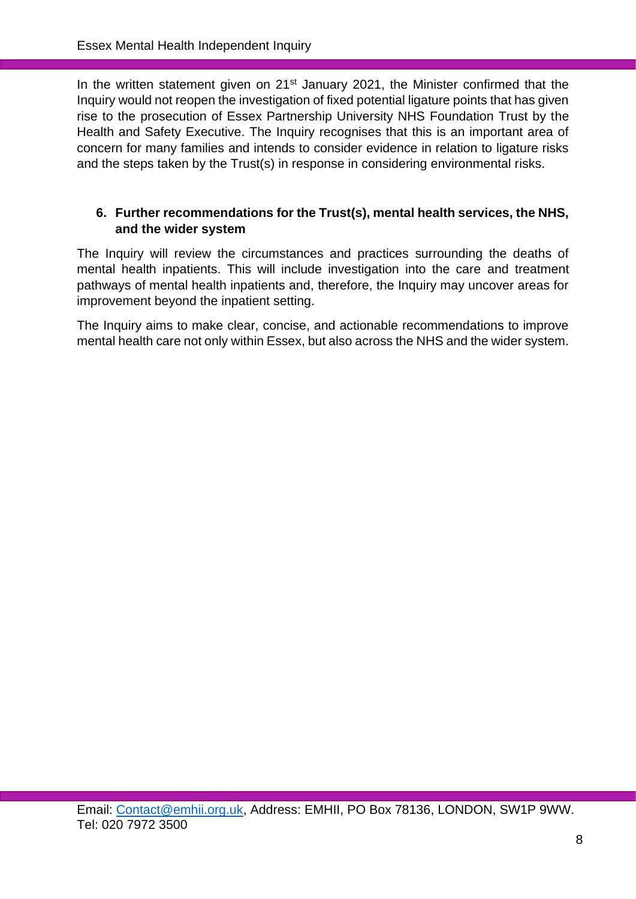In the written statement given on 21<sup>st</sup> January 2021, the Minister confirmed that the Inquiry would not reopen the investigation of fixed potential ligature points that has given rise to the prosecution of Essex Partnership University NHS Foundation Trust by the Health and Safety Executive. The Inquiry recognises that this is an important area of concern for many families and intends to consider evidence in relation to ligature risks and the steps taken by the Trust(s) in response in considering environmental risks.

# **6. Further recommendations for the Trust(s), mental health services, the NHS, and the wider system**

The Inquiry will review the circumstances and practices surrounding the deaths of mental health inpatients. This will include investigation into the care and treatment pathways of mental health inpatients and, therefore, the Inquiry may uncover areas for improvement beyond the inpatient setting.

The Inquiry aims to make clear, concise, and actionable recommendations to improve mental health care not only within Essex, but also across the NHS and the wider system.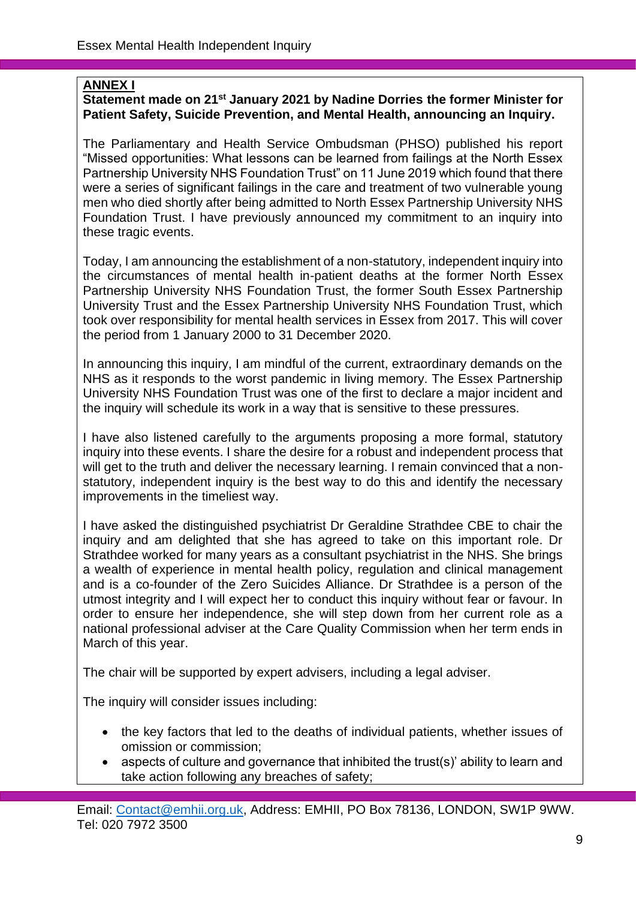# **ANNEX I**

### **Statement made on 21st January 2021 by Nadine Dorries the former Minister for Patient Safety, Suicide Prevention, and Mental Health, announcing an Inquiry.**

The Parliamentary and Health Service Ombudsman (PHSO) published his report "Missed opportunities: What lessons can be learned from failings at the North Essex Partnership University NHS Foundation Trust" on 11 June 2019 which found that there were a series of significant failings in the care and treatment of two vulnerable young men who died shortly after being admitted to North Essex Partnership University NHS Foundation Trust. I have previously announced my commitment to an inquiry into these tragic events.

Today, I am announcing the establishment of a non-statutory, independent inquiry into the circumstances of mental health in-patient deaths at the former North Essex Partnership University NHS Foundation Trust, the former South Essex Partnership University Trust and the Essex Partnership University NHS Foundation Trust, which took over responsibility for mental health services in Essex from 2017. This will cover the period from 1 January 2000 to 31 December 2020.

In announcing this inquiry, I am mindful of the current, extraordinary demands on the NHS as it responds to the worst pandemic in living memory. The Essex Partnership University NHS Foundation Trust was one of the first to declare a major incident and the inquiry will schedule its work in a way that is sensitive to these pressures.

I have also listened carefully to the arguments proposing a more formal, statutory inquiry into these events. I share the desire for a robust and independent process that will get to the truth and deliver the necessary learning. I remain convinced that a nonstatutory, independent inquiry is the best way to do this and identify the necessary improvements in the timeliest way.

I have asked the distinguished psychiatrist Dr Geraldine Strathdee CBE to chair the inquiry and am delighted that she has agreed to take on this important role. Dr Strathdee worked for many years as a consultant psychiatrist in the NHS. She brings a wealth of experience in mental health policy, regulation and clinical management and is a co-founder of the Zero Suicides Alliance. Dr Strathdee is a person of the utmost integrity and I will expect her to conduct this inquiry without fear or favour. In order to ensure her independence, she will step down from her current role as a national professional adviser at the Care Quality Commission when her term ends in March of this year.

The chair will be supported by expert advisers, including a legal adviser.

The inquiry will consider issues including:

- the key factors that led to the deaths of individual patients, whether issues of omission or commission;
- aspects of culture and governance that inhibited the trust(s)' ability to learn and take action following any breaches of safety;

Email: [Contact@emhii.org.uk,](mailto:Contact@emhii.org.uk) Address: EMHII, PO Box 78136, LONDON, SW1P 9WW. Tel: 020 7972 3500